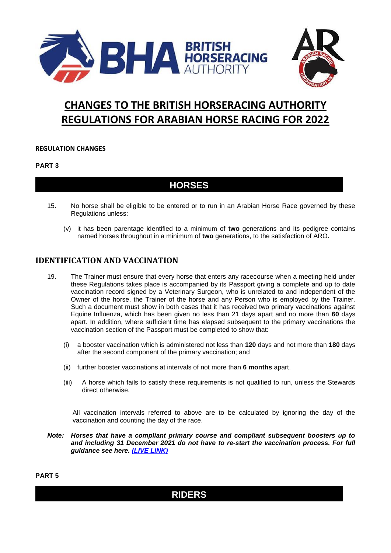



# **CHANGES TO THE BRITISH HORSERACING AUTHORITY REGULATIONS FOR ARABIAN HORSE RACING FOR 2022**

### **REGULATION CHANGES**

#### **PART 3**

### **HORSES**

- 15. No horse shall be eligible to be entered or to run in an Arabian Horse Race governed by these Regulations unless:
	- (v) it has been parentage identified to a minimum of **two** generations and its pedigree contains named horses throughout in a minimum of **two** generations, to the satisfaction of ARO**.**

### **IDENTIFICATION AND VACCINATION**

- <span id="page-0-0"></span>19. The Trainer must ensure that every horse that enters any racecourse when a meeting held under these Regulations takes place is accompanied by its Passport giving a complete and up to date vaccination record signed by a Veterinary Surgeon, who is unrelated to and independent of the Owner of the horse, the Trainer of the horse and any Person who is employed by the Trainer. Such a document must show in both cases that it has received two primary vaccinations against Equine Influenza, which has been given no less than 21 days apart and no more than **60** days apart. In addition, where sufficient time has elapsed subsequent to the primary vaccinations the vaccination section of the Passport must be completed to show that:
	- (i) a booster vaccination which is administered not less than **120** days and not more than **180** days after the second component of the primary vaccination; and
	- (ii) further booster vaccinations at intervals of not more than **6 months** apart.
	- (iii) A horse which fails to satisfy these requirements is not qualified to run, unless the Stewards direct otherwise.

All vaccination intervals referred to above are to be calculated by ignoring the day of the vaccination and counting the day of the race.

*Note: Horses that have a compliant primary course and compliant subsequent boosters up to and including 31 December 2021 do not have to re-start the vaccination process. For full guidance see here. [\(LIVE LINK\)](https://rules.britishhorseracing.com/#!/book/34/chapter/s3534-vaccinations-code/content)*

**PART 5**

## **RIDERS**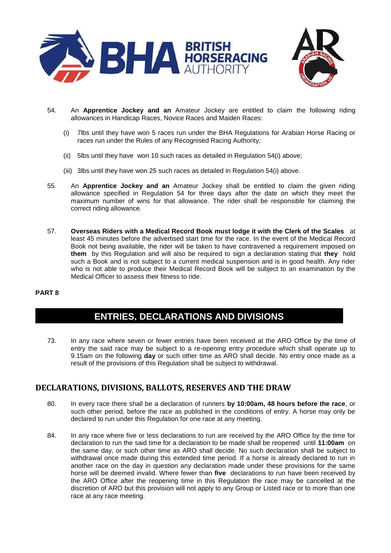



- <span id="page-1-0"></span>54. An **Apprentice Jockey and an** Amateur Jockey are entitled to claim the following riding allowances in Handicap Races, Novice Races and Maiden Races:
	- (i) 7lbs until they have won 5 races run under the BHA Regulations for Arabian Horse Racing or races run under the Rules of any Recognised Racing Authority;
	- (ii) 5lbs until they have won 10 such races as detailed in Regulation 54(i) above;
	- (iii) 3lbs until they have won 25 such races as detailed in Regulation 54(i) above.
- 55. An **Apprentice Jockey and an** Amateur Jockey shall be entitled to claim the given riding allowance specified in Regulation [54](#page-1-0) for three days after the date on which they meet the maximum number of wins for that allowance. The rider shall be responsible for claiming the correct riding allowance.
- 57. **Overseas Riders with a Medical Record Book must lodge it with the Clerk of the Scales** at least 45 minutes before the advertised start time for the race. In the event of the Medical Record Book not being available, the rider will be taken to have contravened a requirement imposed on **them** by this Regulation and will also be required to sign a declaration stating that **they** hold such a Book and is not subject to a current medical suspension and is in good health. Any rider who is not able to produce their Medical Record Book will be subject to an examination by the Medical Officer to assess their fitness to ride.

#### **PART 8**

# **ENTRIES, DECLARATIONS AND DIVISIONS**

73. In any race where seven or fewer entries have been received at the ARO Office by the time of entry the said race may be subject to a re-opening entry procedure which shall operate up to 9.15am on the following **day** or such other time as ARO shall decide. No entry once made as a result of the provisions of this Regulation shall be subject to withdrawal.

### **DECLARATIONS, DIVISIONS, BALLOTS, RESERVES AND THE DRAW**

- 80. In every race there shall be a declaration of runners **by 10:00am, 48 hours before the race**, or such other period, before the race as published in the conditions of entry. A horse may only be declared to run under this Regulation for one race at any meeting.
- 84. In any race where five or less declarations to run are received by the ARO Office by the time for declaration to run the said time for a declaration to be made shall be reopened until **11:00am** on the same day, or such other time as ARO shall decide. No such declaration shall be subject to withdrawal once made during this extended time period. If a horse is already declared to run in another race on the day in question any declaration made under these provisions for the same horse will be deemed invalid. Where fewer than **five** declarations to run have been received by the ARO Office after the reopening time in this Regulation the race may be cancelled at the discretion of ARO but this provision will not apply to any Group or Listed race or to more than one race at any race meeting.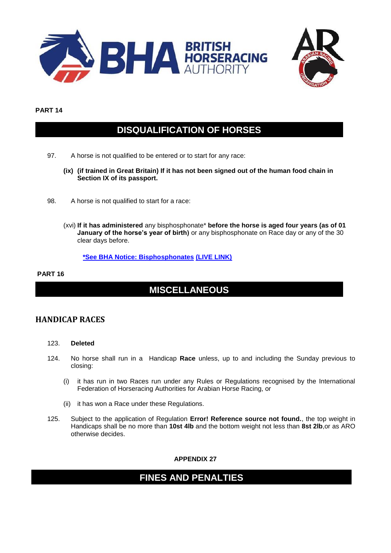



#### **PART 14**

# **DISQUALIFICATION OF HORSES**

- 97. A horse is not qualified to be entered or to start for any race:
	- **(ix) (if trained in Great Britain) If it has not been signed out of the human food chain in Section IX of its passport.**
- 98. A horse is not qualified to start for a race:
	- (xvi) **If it has administered** any bisphosphonate\* **before the horse is aged four years (as of 01 January of the horse's year of birth)** or any bisphosphonate on Race day or any of the 30 clear days before.

**[\\*See BHA Notice: Bisphosphonates](http://media.britishhorseracing.com/bha/AntiDoping/Prohibited_Substances/Bisphosphonates.pdf) [\(LIVE LINK\)](http://media.britishhorseracing.com/bha/AntiDoping/Prohibited_Substances/Bisphosphonates.pdf)**

#### **PART 16**

# **MISCELLANEOUS**

### **HANDICAP RACES**

- 123. **Deleted**
- 124. No horse shall run in a Handicap **Race** unless, up to and including the Sunday previous to closing:
	- (i) it has run in two Races run under any Rules or Regulations recognised by the International Federation of Horseracing Authorities for Arabian Horse Racing, or
	- (ii) it has won a Race under these Regulations.
- 125. Subject to the application of Regulation **Error! Reference source not found.**, the top weight in Handicaps shall be no more than **10st 4lb** and the bottom weight not less than **8st 2lb**,or as ARO otherwise decides.

**APPENDIX 27**

## **FINES AND PENALTIES**